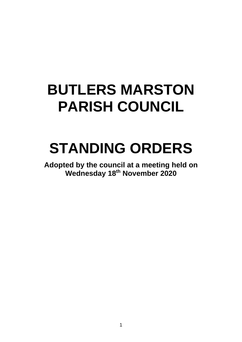# **BUTLERS MARSTON PARISH COUNCIL**

# **STANDING ORDERS**

**Adopted by the council at a meeting held on Wednesday 18th November 2020**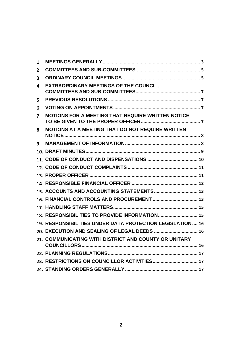| 1. |                                                            |
|----|------------------------------------------------------------|
| 2. |                                                            |
| 3. |                                                            |
| 4. | <b>EXTRAORDINARY MEETINGS OF THE COUNCIL,</b>              |
| 5. |                                                            |
| 6. |                                                            |
| 7. | <b>MOTIONS FOR A MEETING THAT REQUIRE WRITTEN NOTICE</b>   |
| 8. | <b>MOTIONS AT A MEETING THAT DO NOT REQUIRE WRITTEN</b>    |
| 9. |                                                            |
|    |                                                            |
|    |                                                            |
|    |                                                            |
|    |                                                            |
|    |                                                            |
|    | 15. ACCOUNTS AND ACCOUNTING STATEMENTS 13                  |
|    | 16. FINANCIAL CONTROLS AND PROCUREMENT  13                 |
|    |                                                            |
|    | 18. RESPONSIBILITIES TO PROVIDE INFORMATION 15             |
|    | 19. RESPONSIBILITIES UNDER DATA PROTECTION LEGISLATION  16 |
|    | 20. EXECUTION AND SEALING OF LEGAL DEEDS  16               |
|    | 21. COMMUNICATING WITH DISTRICT AND COUNTY OR UNITARY      |
|    |                                                            |
|    |                                                            |
|    |                                                            |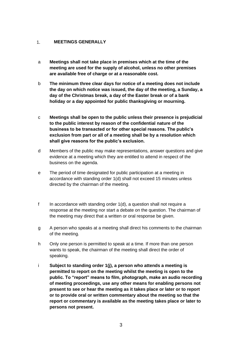# <span id="page-2-0"></span> $1.$ **MEETINGS GENERALLY**

- a **Meetings shall not take place in premises which at the time of the meeting are used for the supply of alcohol, unless no other premises are available free of charge or at a reasonable cost.**
- b **The minimum three clear days for notice of a meeting does not include the day on which notice was issued, the day of the meeting, a Sunday, a day of the Christmas break, a day of the Easter break or of a bank holiday or a day appointed for public thanksgiving or mourning.**
- c **Meetings shall be open to the public unless their presence is prejudicial to the public interest by reason of the confidential nature of the business to be transacted or for other special reasons. The public's exclusion from part or all of a meeting shall be by a resolution which shall give reasons for the public's exclusion.**
- d Members of the public may make representations, answer questions and give evidence at a meeting which they are entitled to attend in respect of the business on the agenda.
- e The period of time designated for public participation at a meeting in accordance with standing order 1(d) shall not exceed 15 minutes unless directed by the chairman of the meeting.
- f In accordance with standing order 1(d), a question shall not require a response at the meeting nor start a debate on the question. The chairman of the meeting may direct that a written or oral response be given.
- g A person who speaks at a meeting shall direct his comments to the chairman of the meeting.
- h Only one person is permitted to speak at a time. If more than one person wants to speak, the chairman of the meeting shall direct the order of speaking.
- i **Subject to standing order 1(j), a person who attends a meeting is permitted to report on the meeting whilst the meeting is open to the public. To "report" means to film, photograph, make an audio recording of meeting proceedings, use any other means for enabling persons not present to see or hear the meeting as it takes place or later or to report or to provide oral or written commentary about the meeting so that the report or commentary is available as the meeting takes place or later to persons not present.**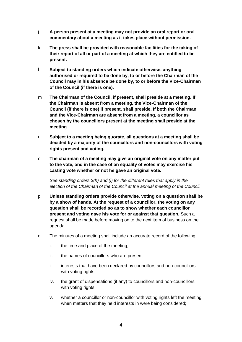- j **A person present at a meeting may not provide an oral report or oral commentary about a meeting as it takes place without permission.**
- k **The press shall be provided with reasonable facilities for the taking of their report of all or part of a meeting at which they are entitled to be present.**
- l **Subject to standing orders which indicate otherwise, anything authorised or required to be done by, to or before the Chairman of the Council may in his absence be done by, to or before the Vice-Chairman of the Council (if there is one).**
- m **The Chairman of the Council, if present, shall preside at a meeting. If the Chairman is absent from a meeting, the Vice-Chairman of the Council (if there is one) if present, shall preside. If both the Chairman and the Vice-Chairman are absent from a meeting, a councillor as chosen by the councillors present at the meeting shall preside at the meeting.**
- n **Subject to a meeting being quorate, all questions at a meeting shall be decided by a majority of the councillors and non-councillors with voting rights present and voting.**
- o **The chairman of a meeting may give an original vote on any matter put to the vote, and in the case of an equality of votes may exercise his casting vote whether or not he gave an original vote.**

*See standing orders 3(h) and (i) for the different rules that apply in the election of the Chairman of the Council at the annual meeting of the Council.*

- p **Unless standing orders provide otherwise, voting on a question shall be by a show of hands. At the request of a councillor, the voting on any question shall be recorded so as to show whether each councillor present and voting gave his vote for or against that question.** Such a request shall be made before moving on to the next item of business on the agenda.
- q The minutes of a meeting shall include an accurate record of the following:
	- i. the time and place of the meeting;
	- ii. the names of councillors who are present
	- iii. interests that have been declared by councillors and non-councillors with voting rights;
	- iv. the grant of dispensations (if any) to councillors and non-councillors with voting rights:
	- v. whether a councillor or non-councillor with voting rights left the meeting when matters that they held interests in were being considered;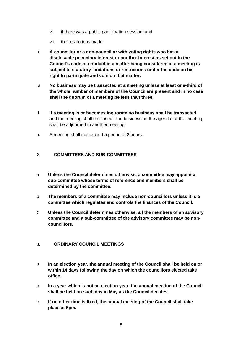- vi. if there was a public participation session; and
- vii. the resolutions made.
- r **A councillor or a non-councillor with voting rights who has a disclosable pecuniary interest or another interest as set out in the Council's code of conduct in a matter being considered at a meeting is subject to statutory limitations or restrictions under the code on his right to participate and vote on that matter.**
- s **No business may be transacted at a meeting unless at least one-third of the whole number of members of the Council are present and in no case shall the quorum of a meeting be less than three.**
- t **If a meeting is or becomes inquorate no business shall be transacted** and the meeting shall be closed. The business on the agenda for the meeting shall be adjourned to another meeting.
- u A meeting shall not exceed a period of 2 hours.

# <span id="page-4-0"></span>**COMMITTEES AND SUB-COMMITTEES**  $\overline{2}$ .

- a **Unless the Council determines otherwise, a committee may appoint a sub-committee whose terms of reference and members shall be determined by the committee.**
- b **The members of a committee may include non-councillors unless it is a committee which regulates and controls the finances of the Council.**
- c **Unless the Council determines otherwise, all the members of an advisory committee and a sub-committee of the advisory committee may be noncouncillors.**

### <span id="page-4-1"></span> $\overline{3}$ **ORDINARY COUNCIL MEETINGS**

- a **In an election year, the annual meeting of the Council shall be held on or within 14 days following the day on which the councillors elected take office.**
- b **In a year which is not an election year, the annual meeting of the Council shall be held on such day in May as the Council decides.**
- c **If no other time is fixed, the annual meeting of the Council shall take place at 6pm.**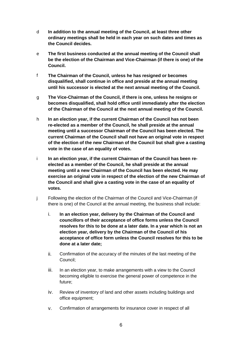- d **In addition to the annual meeting of the Council, at least three other ordinary meetings shall be held in each year on such dates and times as the Council decides.**
- e **The first business conducted at the annual meeting of the Council shall be the election of the Chairman and Vice-Chairman (if there is one) of the Council.**
- f **The Chairman of the Council, unless he has resigned or becomes disqualified, shall continue in office and preside at the annual meeting until his successor is elected at the next annual meeting of the Council.**
- g **The Vice-Chairman of the Council, if there is one, unless he resigns or becomes disqualified, shall hold office until immediately after the election of the Chairman of the Council at the next annual meeting of the Council.**
- h **In an election year, if the current Chairman of the Council has not been re-elected as a member of the Council, he shall preside at the annual meeting until a successor Chairman of the Council has been elected. The current Chairman of the Council shall not have an original vote in respect of the election of the new Chairman of the Council but shall give a casting vote in the case of an equality of votes.**
- i **In an election year, if the current Chairman of the Council has been reelected as a member of the Council, he shall preside at the annual meeting until a new Chairman of the Council has been elected. He may exercise an original vote in respect of the election of the new Chairman of the Council and shall give a casting vote in the case of an equality of votes.**
- j Following the election of the Chairman of the Council and Vice-Chairman (if there is one) of the Council at the annual meeting, the business shall include:
	- i. **In an election year, delivery by the Chairman of the Council and councillors of their acceptance of office forms unless the Council resolves for this to be done at a later date. In a year which is not an election year, delivery by the Chairman of the Council of his acceptance of office form unless the Council resolves for this to be done at a later date;**
	- ii. Confirmation of the accuracy of the minutes of the last meeting of the Council;
	- iii. In an election year, to make arrangements with a view to the Council becoming eligible to exercise the general power of competence in the future;
	- iv. Review of inventory of land and other assets including buildings and office equipment;
	- v. Confirmation of arrangements for insurance cover in respect of all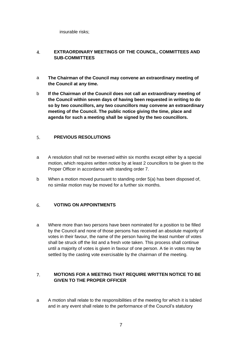insurable risks;

# <span id="page-6-0"></span> $\overline{4}$ . **EXTRAORDINARY MEETINGS OF THE COUNCIL, COMMITTEES AND SUB-COMMITTEES**

- a **The Chairman of the Council may convene an extraordinary meeting of the Council at any time.**
- b **If the Chairman of the Council does not call an extraordinary meeting of the Council within seven days of having been requested in writing to do so by two councillors, any two councillors may convene an extraordinary meeting of the Council. The public notice giving the time, place and agenda for such a meeting shall be signed by the two councillors.**

# <span id="page-6-1"></span>**PREVIOUS RESOLUTIONS**  $5<sub>1</sub>$

- a A resolution shall not be reversed within six months except either by a special motion, which requires written notice by at least 2 councillors to be given to the Proper Officer in accordance with standing order 7.
- b When a motion moved pursuant to standing order 5(a) has been disposed of, no similar motion may be moved for a further six months.

# <span id="page-6-2"></span>**VOTING ON APPOINTMENTS** 6.

a Where more than two persons have been nominated for a position to be filled by the Council and none of those persons has received an absolute majority of votes in their favour, the name of the person having the least number of votes shall be struck off the list and a fresh vote taken. This process shall continue until a majority of votes is given in favour of one person. A tie in votes may be settled by the casting vote exercisable by the chairman of the meeting.

# <span id="page-6-3"></span>**MOTIONS FOR A MEETING THAT REQUIRE WRITTEN NOTICE TO BE**   $\overline{7}$ . **GIVEN TO THE PROPER OFFICER**

a A motion shall relate to the responsibilities of the meeting for which it is tabled and in any event shall relate to the performance of the Council's statutory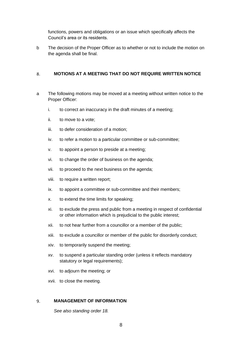functions, powers and obligations or an issue which specifically affects the Council's area or its residents.

b The decision of the Proper Officer as to whether or not to include the motion on the agenda shall be final.

# <span id="page-7-0"></span>8. **MOTIONS AT A MEETING THAT DO NOT REQUIRE WRITTEN NOTICE**

- a The following motions may be moved at a meeting without written notice to the Proper Officer:
	- i. to correct an inaccuracy in the draft minutes of a meeting;
	- ii. to move to a vote;
	- iii. to defer consideration of a motion;
	- iv. to refer a motion to a particular committee or sub-committee;
	- v. to appoint a person to preside at a meeting;
	- vi. to change the order of business on the agenda;
	- vii. to proceed to the next business on the agenda;
	- viii. to require a written report;
	- ix. to appoint a committee or sub-committee and their members;
	- x. to extend the time limits for speaking;
	- xi. to exclude the press and public from a meeting in respect of confidential or other information which is prejudicial to the public interest;
	- xii. to not hear further from a councillor or a member of the public;
	- xiii. to exclude a councillor or member of the public for disorderly conduct;
	- xiv. to temporarily suspend the meeting;
	- xv. to suspend a particular standing order (unless it reflects mandatory statutory or legal requirements);
	- xvi. to adjourn the meeting; or
	- xvii. to close the meeting.

# <span id="page-7-1"></span>**MANAGEMENT OF INFORMATION**  9.

*See also standing order 18.*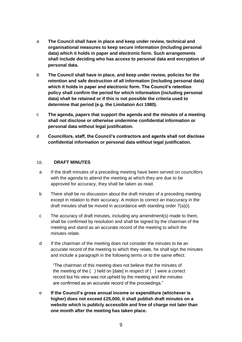- a **The Council shall have in place and keep under review, technical and organisational measures to keep secure information (including personal data) which it holds in paper and electronic form. Such arrangements shall include deciding who has access to personal data and encryption of personal data.**
- b **The Council shall have in place, and keep under review, policies for the retention and safe destruction of all information (including personal data) which it holds in paper and electronic form. The Council's retention policy shall confirm the period for which information (including personal data) shall be retained or if this is not possible the criteria used to determine that period (e.g. the Limitation Act 1980).**
- c **The agenda, papers that support the agenda and the minutes of a meeting shall not disclose or otherwise undermine confidential information or personal data without legal justification.**
- d **Councillors, staff, the Council's contractors and agents shall not disclose confidential information or personal data without legal justification.**

### <span id="page-8-0"></span>**DRAFT MINUTES**   $10.$

- a If the draft minutes of a preceding meeting have been served on councillors with the agenda to attend the meeting at which they are due to be approved for accuracy, they shall be taken as read.
- b There shall be no discussion about the draft minutes of a preceding meeting except in relation to their accuracy. A motion to correct an inaccuracy in the draft minutes shall be moved in accordance with standing order 7(a)(i).
- c The accuracy of draft minutes, including any amendment(s) made to them, shall be confirmed by resolution and shall be signed by the chairman of the meeting and stand as an accurate record of the meeting to which the minutes relate.
- d If the chairman of the meeting does not consider the minutes to be an accurate record of the meeting to which they relate, he shall sign the minutes and include a paragraph in the following terms or to the same effect:

"The chairman of this meeting does not believe that the minutes of the meeting of the ( ) held on [date] in respect of ( ) were a correct record but his view was not upheld by the meeting and the minutes are confirmed as an accurate record of the proceedings."

e **If the Council's gross annual income or expenditure (whichever is higher) does not exceed £25,000, it shall publish draft minutes on a website which is publicly accessible and free of charge not later than one month after the meeting has taken place.**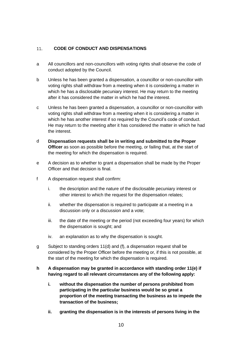# <span id="page-9-0"></span>**CODE OF CONDUCT AND DISPENSATIONS**  $11.$

- a All councillors and non-councillors with voting rights shall observe the code of conduct adopted by the Council.
- b Unless he has been granted a dispensation, a councillor or non-councillor with voting rights shall withdraw from a meeting when it is considering a matter in which he has a disclosable pecuniary interest. He may return to the meeting after it has considered the matter in which he had the interest.
- c Unless he has been granted a dispensation, a councillor or non-councillor with voting rights shall withdraw from a meeting when it is considering a matter in which he has another interest if so required by the Council's code of conduct. He may return to the meeting after it has considered the matter in which he had the interest.
- d **Dispensation requests shall be in writing and submitted to the Proper Officer** as soon as possible before the meeting, or failing that, at the start of the meeting for which the dispensation is required.
- e A decision as to whether to grant a dispensation shall be made by the Proper Officer and that decision is final.
- f A dispensation request shall confirm:
	- i. the description and the nature of the disclosable pecuniary interest or other interest to which the request for the dispensation relates;
	- ii. whether the dispensation is required to participate at a meeting in a discussion only or a discussion and a vote;
	- iii. the date of the meeting or the period (not exceeding four years) for which the dispensation is sought; and
	- iv. an explanation as to why the dispensation is sought.
- g Subject to standing orders 11(d) and (f), a dispensation request shall be considered by the Proper Officer before the meeting or, if this is not possible, at the start of the meeting for which the dispensation is required.

# **h A dispensation may be granted in accordance with standing order 11(e) if having regard to all relevant circumstances any of the following apply:**

- **i. without the dispensation the number of persons prohibited from participating in the particular business would be so great a proportion of the meeting transacting the business as to impede the transaction of the business;**
- **ii. granting the dispensation is in the interests of persons living in the**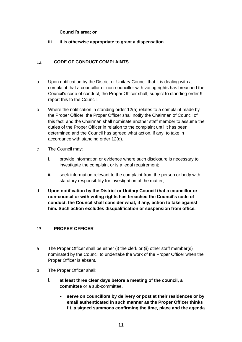# **Council's area; or**

# **iii. it is otherwise appropriate to grant a dispensation.**

# <span id="page-10-0"></span>**CODE OF CONDUCT COMPLAINTS**   $12<sub>1</sub>$

- a Upon notification by the District or Unitary Council that it is dealing with a complaint that a councillor or non-councillor with voting rights has breached the Council's code of conduct, the Proper Officer shall, subject to standing order 9, report this to the Council.
- b Where the notification in standing order 12(a) relates to a complaint made by the Proper Officer, the Proper Officer shall notify the Chairman of Council of this fact, and the Chairman shall nominate another staff member to assume the duties of the Proper Officer in relation to the complaint until it has been determined and the Council has agreed what action, if any, to take in accordance with standing order 12(d).
- c The Council may:
	- i. provide information or evidence where such disclosure is necessary to investigate the complaint or is a legal requirement;
	- ii. seek information relevant to the complaint from the person or body with statutory responsibility for investigation of the matter;
- d **Upon notification by the District or Unitary Council that a councillor or non-councillor with voting rights has breached the Council's code of conduct, the Council shall consider what, if any, action to take against him. Such action excludes disqualification or suspension from office.**

# <span id="page-10-1"></span> $13.$ **PROPER OFFICER**

- a The Proper Officer shall be either (i) the clerk or (ii) other staff member(s) nominated by the Council to undertake the work of the Proper Officer when the Proper Officer is absent.
- b The Proper Officer shall:
	- i. **at least three clear days before a meeting of the council, a committee** or a sub-committee**,**
		- **serve on councillors by delivery or post at their residences or by email authenticated in such manner as the Proper Officer thinks fit, a signed summons confirming the time, place and the agenda**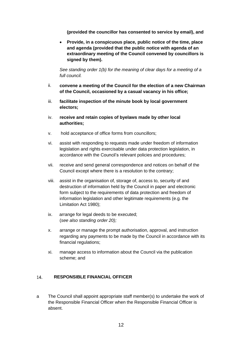**(provided the councillor has consented to service by email), and**

• **Provide, in a conspicuous place, public notice of the time, place and agenda (provided that the public notice with agenda of an extraordinary meeting of the Council convened by councillors is signed by them).**

*See standing order 1(b) for the meaning of clear days for a meeting of a full council.*

- ii. **convene a meeting of the Council for the election of a new Chairman of the Council, occasioned by a casual vacancy in his office;**
- iii. **facilitate inspection of the minute book by local government electors;**
- iv. **receive and retain copies of byelaws made by other local authorities;**
- v. hold acceptance of office forms from councillors;
- vi. assist with responding to requests made under freedom of information legislation and rights exercisable under data protection legislation, in accordance with the Council's relevant policies and procedures;
- vii. receive and send general correspondence and notices on behalf of the Council except where there is a resolution to the contrary;
- viii. assist in the organisation of, storage of, access to, security of and destruction of information held by the Council in paper and electronic form subject to the requirements of data protection and freedom of information legislation and other legitimate requirements (e.g. the Limitation Act 1980);
- ix. arrange for legal deeds to be executed; (*see also standing order 20);*
- x. arrange or manage the prompt authorisation, approval, and instruction regarding any payments to be made by the Council in accordance with its financial regulations;
- xi. manage access to information about the Council via the publication scheme; and

# <span id="page-11-0"></span>**RESPONSIBLE FINANCIAL OFFICER**  14.

a The Council shall appoint appropriate staff member(s) to undertake the work of the Responsible Financial Officer when the Responsible Financial Officer is absent.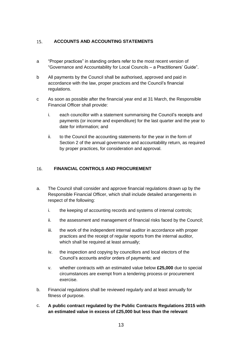# <span id="page-12-0"></span> $15.$ **ACCOUNTS AND ACCOUNTING STATEMENTS**

- a "Proper practices" in standing orders refer to the most recent version of "Governance and Accountability for Local Councils – a Practitioners' Guide".
- b All payments by the Council shall be authorised, approved and paid in accordance with the law, proper practices and the Council's financial regulations.
- c As soon as possible after the financial year end at 31 March, the Responsible Financial Officer shall provide:
	- i. each councillor with a statement summarising the Council's receipts and payments (or income and expenditure) for the last quarter and the year to date for information; and
	- ii. to the Council the accounting statements for the year in the form of Section 2 of the annual governance and accountability return, as required by proper practices, for consideration and approval.

# <span id="page-12-1"></span> $16.$ **FINANCIAL CONTROLS AND PROCUREMENT**

- a. The Council shall consider and approve financial regulations drawn up by the Responsible Financial Officer, which shall include detailed arrangements in respect of the following:
	- i. the keeping of accounting records and systems of internal controls;
	- ii. the assessment and management of financial risks faced by the Council;
	- iii. the work of the independent internal auditor in accordance with proper practices and the receipt of regular reports from the internal auditor, which shall be required at least annually;
	- iv. the inspection and copying by councillors and local electors of the Council's accounts and/or orders of payments; and
	- v. whether contracts with an estimated value below **£25,000** due to special circumstances are exempt from a tendering process or procurement exercise.
- b. Financial regulations shall be reviewed regularly and at least annually for fitness of purpose.
- c. **A public contract regulated by the Public Contracts Regulations 2015 with an estimated value in excess of £25,000 but less than the relevant**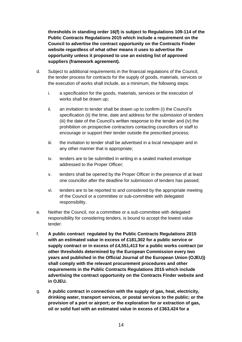**thresholds in standing order 16(f) is subject to Regulations 109-114 of the Public Contracts Regulations 2015 which include a requirement on the Council to advertise the contract opportunity on the Contracts Finder website regardless of what other means it uses to advertise the opportunity unless it proposed to use an existing list of approved suppliers (framework agreement).**

- d. Subject to additional requirements in the financial regulations of the Council, the tender process for contracts for the supply of goods, materials, services or the execution of works shall include, as a minimum, the following steps:
	- i. a specification for the goods, materials, services or the execution of works shall be drawn up;
	- ii. an invitation to tender shall be drawn up to confirm (i) the Council's specification (ii) the time, date and address for the submission of tenders (iii) the date of the Council's written response to the tender and (iv) the prohibition on prospective contractors contacting councillors or staff to encourage or support their tender outside the prescribed process;
	- iii. the invitation to tender shall be advertised in a local newspaper and in any other manner that is appropriate;
	- iv. tenders are to be submitted in writing in a sealed marked envelope addressed to the Proper Officer;
	- v. tenders shall be opened by the Proper Officer in the presence of at least one councillor after the deadline for submission of tenders has passed;
	- vi. tenders are to be reported to and considered by the appropriate meeting of the Council or a committee or sub-committee with delegated responsibility.
- e. Neither the Council, nor a committee or a sub-committee with delegated responsibility for considering tenders, is bound to accept the lowest value tender.
- f. **A public contract regulated by the Public Contracts Regulations 2015 with an estimated value in excess of £181,302 for a public service or supply contract or in excess of £4,551,413 for a public works contract (or other thresholds determined by the European Commission every two years and published in the Official Journal of the European Union (OJEU)) shall comply with the relevant procurement procedures and other requirements in the Public Contracts Regulations 2015 which include advertising the contract opportunity on the Contracts Finder website and in OJEU.**
- g. **A public contract in connection with the supply of gas, heat, electricity, drinking water, transport services, or postal services to the public; or the provision of a port or airport; or the exploration for or extraction of gas, oil or solid fuel with an estimated value in excess of £363,424 for a**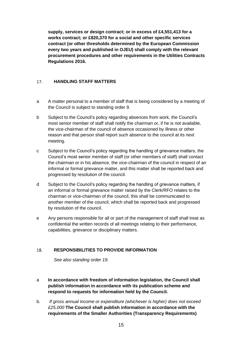**supply, services or design contract; or in excess of £4,551,413 for a works contract; or £820,370 for a social and other specific services contract (or other thresholds determined by the European Commission every two years and published in OJEU) shall comply with the relevant procurement procedures and other requirements in the Utilities Contracts Regulations 2016.**

# <span id="page-14-0"></span> $17.$ **HANDLING STAFF MATTERS**

- a A matter personal to a member of staff that is being considered by a meeting of the Council is subject to standing order 9.
- b Subject to the Council's policy regarding absences from work, the Council's most senior member of staff shall notify the chairman or, if he is not available, the vice-chairman of the council of absence occasioned by illness or other reason and that person shall report such absence to the council at its next meeting.
- c Subject to the Council's policy regarding the handling of grievance matters, the Council's most senior member of staff (or other members of staff) shall contact the chairman or in his absence, the vice-chairman of the council in respect of an informal or formal grievance matter, and this matter shall be reported back and progressed by resolution of the council.
- d Subject to the Council's policy regarding the handling of grievance matters, if an informal or formal grievance matter raised by the Clerk/RFO relates to the chairman or vice-chairman of the council, this shall be communicated to another member of the council, which shall be reported back and progressed by resolution of the council.
- e Any persons responsible for all or part of the management of staff shall treat as confidential the written records of all meetings relating to their performance, capabilities, grievance or disciplinary matters.

# <span id="page-14-1"></span>18. **RESPONSIBILITIES TO PROVIDE INFORMATION**

*See also standing order 19.*

- a **In accordance with freedom of information legislation, the Council shall publish information in accordance with its publication scheme and respond to requests for information held by the Council.**
- b. *If gross annual income or expenditure (whichever is higher) does not exceed £25,000* **The Council shall publish information in accordance with the requirements of the Smaller Authorities (Transparency Requirements)**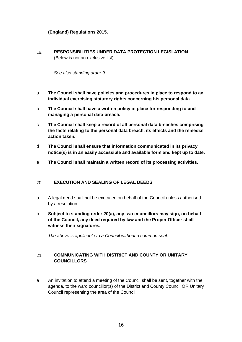# **(England) Regulations 2015.**

<span id="page-15-0"></span>19. **RESPONSIBILITIES UNDER DATA PROTECTION LEGISLATION**  (Below is not an exclusive list).

*See also standing order 9.*

- a **The Council shall have policies and procedures in place to respond to an individual exercising statutory rights concerning his personal data.**
- b **The Council shall have a written policy in place for responding to and managing a personal data breach.**
- c **The Council shall keep a record of all personal data breaches comprising the facts relating to the personal data breach, its effects and the remedial action taken.**
- d **The Council shall ensure that information communicated in its privacy notice(s) is in an easily accessible and available form and kept up to date.**
- e **The Council shall maintain a written record of its processing activities.**

### <span id="page-15-1"></span> $20.$ **EXECUTION AND SEALING OF LEGAL DEEDS**

- a A legal deed shall not be executed on behalf of the Council unless authorised by a resolution.
- b **Subject to standing order 20(a), any two councillors may sign, on behalf of the Council, any deed required by law and the Proper Officer shall witness their signatures.**

*The above is applicable to a Council without a common seal.*

# <span id="page-15-2"></span>21. **COMMUNICATING WITH DISTRICT AND COUNTY OR UNITARY COUNCILLORS**

a An invitation to attend a meeting of the Council shall be sent, together with the agenda, to the ward councillor(s) of the District and County Council OR Unitary Council representing the area of the Council.